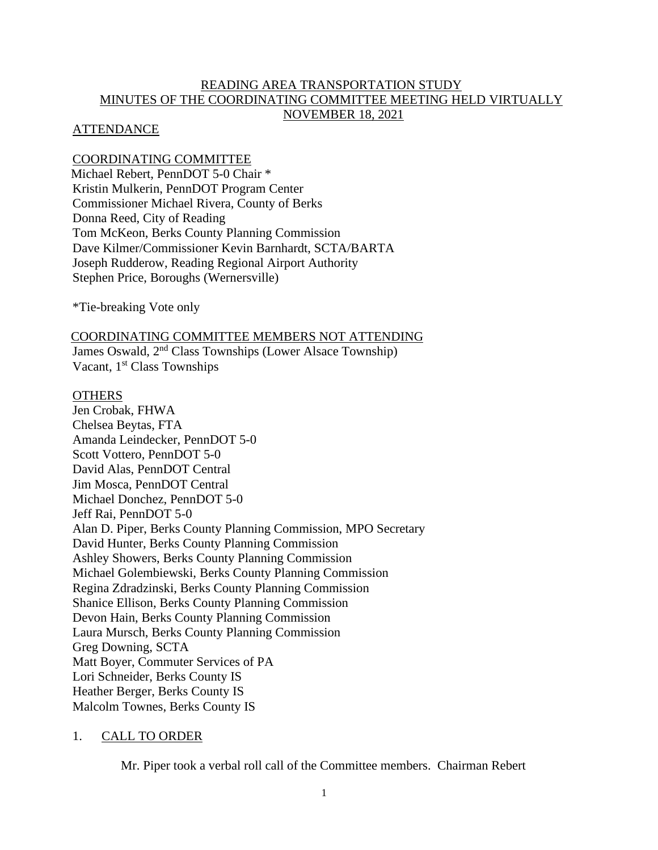# READING AREA TRANSPORTATION STUDY MINUTES OF THE COORDINATING COMMITTEE MEETING HELD VIRTUALLY NOVEMBER 18, 2021

## ATTENDANCE

COORDINATING COMMITTEE Michael Rebert, PennDOT 5-0 Chair \* Kristin Mulkerin, PennDOT Program Center Commissioner Michael Rivera, County of Berks Donna Reed, City of Reading Tom McKeon, Berks County Planning Commission Dave Kilmer/Commissioner Kevin Barnhardt, SCTA/BARTA Joseph Rudderow, Reading Regional Airport Authority Stephen Price, Boroughs (Wernersville)

\*Tie-breaking Vote only

COORDINATING COMMITTEE MEMBERS NOT ATTENDING

James Oswald, 2nd Class Townships (Lower Alsace Township) Vacant, 1<sup>st</sup> Class Townships

## **OTHERS**

Jen Crobak, FHWA Chelsea Beytas, FTA Amanda Leindecker, PennDOT 5-0 Scott Vottero, PennDOT 5-0 David Alas, PennDOT Central Jim Mosca, PennDOT Central Michael Donchez, PennDOT 5-0 Jeff Rai, PennDOT 5-0 Alan D. Piper, Berks County Planning Commission, MPO Secretary David Hunter, Berks County Planning Commission Ashley Showers, Berks County Planning Commission Michael Golembiewski, Berks County Planning Commission Regina Zdradzinski, Berks County Planning Commission Shanice Ellison, Berks County Planning Commission Devon Hain, Berks County Planning Commission Laura Mursch, Berks County Planning Commission Greg Downing, SCTA Matt Boyer, Commuter Services of PA Lori Schneider, Berks County IS Heather Berger, Berks County IS Malcolm Townes, Berks County IS

# 1. CALL TO ORDER

Mr. Piper took a verbal roll call of the Committee members. Chairman Rebert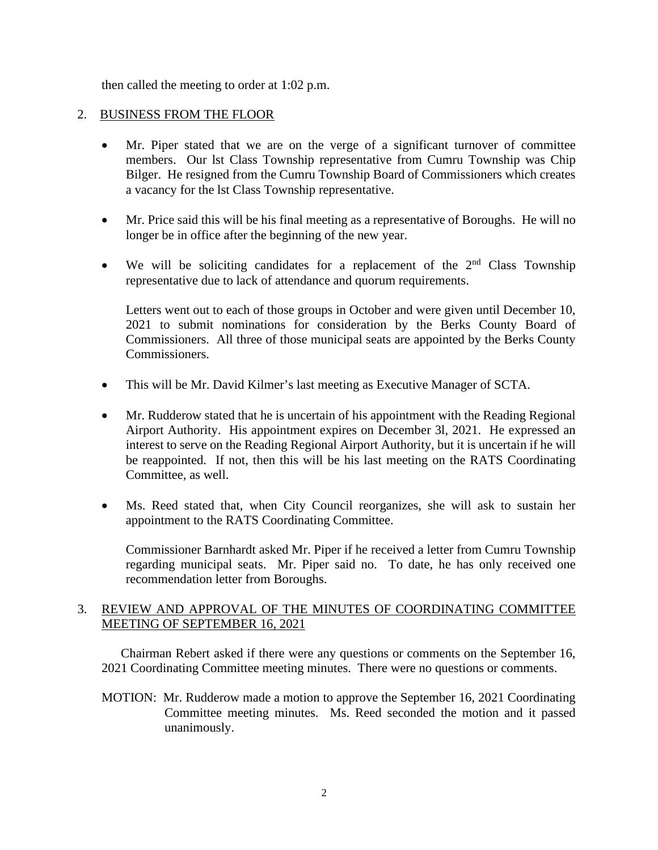then called the meeting to order at 1:02 p.m.

# 2. BUSINESS FROM THE FLOOR

- Mr. Piper stated that we are on the verge of a significant turnover of committee members. Our lst Class Township representative from Cumru Township was Chip Bilger. He resigned from the Cumru Township Board of Commissioners which creates a vacancy for the lst Class Township representative.
- Mr. Price said this will be his final meeting as a representative of Boroughs. He will no longer be in office after the beginning of the new year.
- We will be soliciting candidates for a replacement of the  $2<sup>nd</sup>$  Class Township representative due to lack of attendance and quorum requirements.

Letters went out to each of those groups in October and were given until December 10, 2021 to submit nominations for consideration by the Berks County Board of Commissioners. All three of those municipal seats are appointed by the Berks County Commissioners.

- This will be Mr. David Kilmer's last meeting as Executive Manager of SCTA.
- Mr. Rudderow stated that he is uncertain of his appointment with the Reading Regional Airport Authority. His appointment expires on December 3l, 2021. He expressed an interest to serve on the Reading Regional Airport Authority, but it is uncertain if he will be reappointed. If not, then this will be his last meeting on the RATS Coordinating Committee, as well.
- Ms. Reed stated that, when City Council reorganizes, she will ask to sustain her appointment to the RATS Coordinating Committee.

Commissioner Barnhardt asked Mr. Piper if he received a letter from Cumru Township regarding municipal seats. Mr. Piper said no. To date, he has only received one recommendation letter from Boroughs.

# 3. REVIEW AND APPROVAL OF THE MINUTES OF COORDINATING COMMITTEE MEETING OF SEPTEMBER 16, 2021

Chairman Rebert asked if there were any questions or comments on the September 16, 2021 Coordinating Committee meeting minutes. There were no questions or comments.

MOTION: Mr. Rudderow made a motion to approve the September 16, 2021 Coordinating Committee meeting minutes. Ms. Reed seconded the motion and it passed unanimously.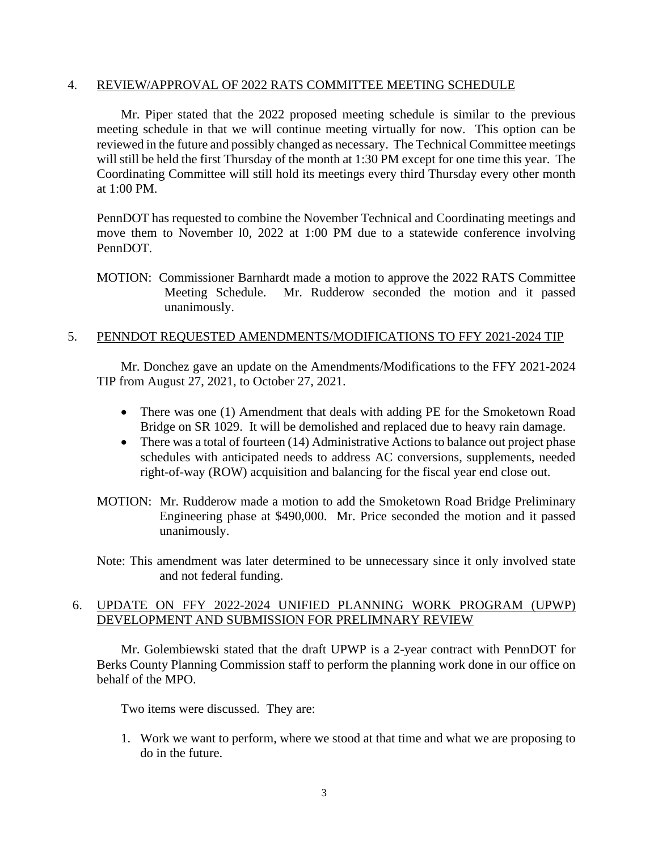## 4. REVIEW/APPROVAL OF 2022 RATS COMMITTEE MEETING SCHEDULE

 Mr. Piper stated that the 2022 proposed meeting schedule is similar to the previous meeting schedule in that we will continue meeting virtually for now. This option can be reviewed in the future and possibly changed as necessary. The Technical Committee meetings will still be held the first Thursday of the month at 1:30 PM except for one time this year. The Coordinating Committee will still hold its meetings every third Thursday every other month at 1:00 PM.

PennDOT has requested to combine the November Technical and Coordinating meetings and move them to November l0, 2022 at 1:00 PM due to a statewide conference involving PennDOT.

MOTION: Commissioner Barnhardt made a motion to approve the 2022 RATS Committee Meeting Schedule. Mr. Rudderow seconded the motion and it passed unanimously.

## 5. PENNDOT REQUESTED AMENDMENTS/MODIFICATIONS TO FFY 2021-2024 TIP

Mr. Donchez gave an update on the Amendments/Modifications to the FFY 2021-2024 TIP from August 27, 2021, to October 27, 2021.

- There was one (1) Amendment that deals with adding PE for the Smoketown Road Bridge on SR 1029. It will be demolished and replaced due to heavy rain damage.
- There was a total of fourteen (14) Administrative Actions to balance out project phase schedules with anticipated needs to address AC conversions, supplements, needed right-of-way (ROW) acquisition and balancing for the fiscal year end close out.
- MOTION: Mr. Rudderow made a motion to add the Smoketown Road Bridge Preliminary Engineering phase at \$490,000. Mr. Price seconded the motion and it passed unanimously.
- Note: This amendment was later determined to be unnecessary since it only involved state and not federal funding.

# 6. UPDATE ON FFY 2022-2024 UNIFIED PLANNING WORK PROGRAM (UPWP) DEVELOPMENT AND SUBMISSION FOR PRELIMNARY REVIEW

Mr. Golembiewski stated that the draft UPWP is a 2-year contract with PennDOT for Berks County Planning Commission staff to perform the planning work done in our office on behalf of the MPO.

Two items were discussed. They are:

1. Work we want to perform, where we stood at that time and what we are proposing to do in the future.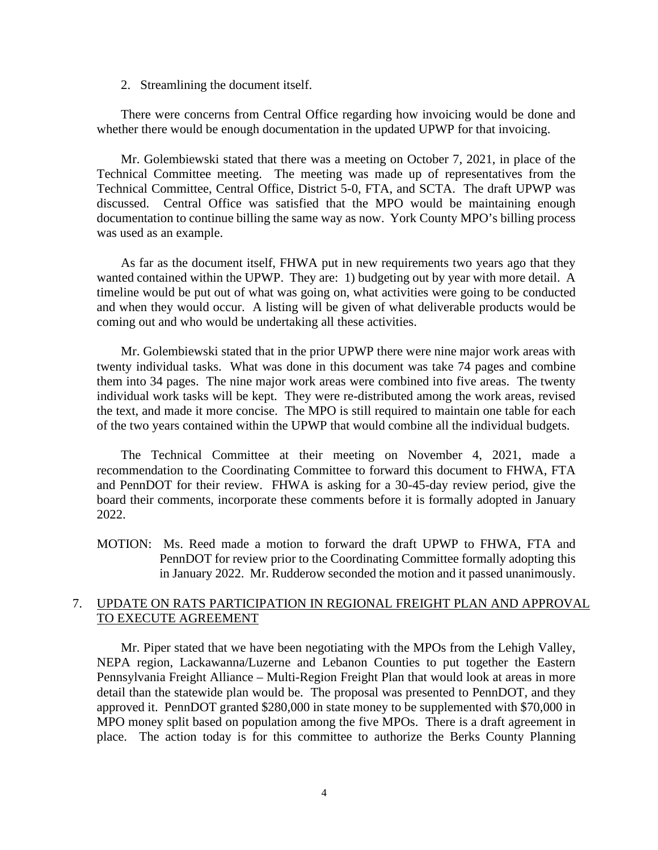2. Streamlining the document itself.

There were concerns from Central Office regarding how invoicing would be done and whether there would be enough documentation in the updated UPWP for that invoicing.

Mr. Golembiewski stated that there was a meeting on October 7, 2021, in place of the Technical Committee meeting. The meeting was made up of representatives from the Technical Committee, Central Office, District 5-0, FTA, and SCTA. The draft UPWP was discussed. Central Office was satisfied that the MPO would be maintaining enough documentation to continue billing the same way as now. York County MPO's billing process was used as an example.

As far as the document itself, FHWA put in new requirements two years ago that they wanted contained within the UPWP. They are: 1) budgeting out by year with more detail. A timeline would be put out of what was going on, what activities were going to be conducted and when they would occur. A listing will be given of what deliverable products would be coming out and who would be undertaking all these activities.

Mr. Golembiewski stated that in the prior UPWP there were nine major work areas with twenty individual tasks. What was done in this document was take 74 pages and combine them into 34 pages. The nine major work areas were combined into five areas. The twenty individual work tasks will be kept. They were re-distributed among the work areas, revised the text, and made it more concise. The MPO is still required to maintain one table for each of the two years contained within the UPWP that would combine all the individual budgets.

The Technical Committee at their meeting on November 4, 2021, made a recommendation to the Coordinating Committee to forward this document to FHWA, FTA and PennDOT for their review. FHWA is asking for a 30-45-day review period, give the board their comments, incorporate these comments before it is formally adopted in January 2022.

MOTION: Ms. Reed made a motion to forward the draft UPWP to FHWA, FTA and PennDOT for review prior to the Coordinating Committee formally adopting this in January 2022. Mr. Rudderow seconded the motion and it passed unanimously.

## 7. UPDATE ON RATS PARTICIPATION IN REGIONAL FREIGHT PLAN AND APPROVAL TO EXECUTE AGREEMENT

Mr. Piper stated that we have been negotiating with the MPOs from the Lehigh Valley, NEPA region, Lackawanna/Luzerne and Lebanon Counties to put together the Eastern Pennsylvania Freight Alliance – Multi-Region Freight Plan that would look at areas in more detail than the statewide plan would be. The proposal was presented to PennDOT, and they approved it. PennDOT granted \$280,000 in state money to be supplemented with \$70,000 in MPO money split based on population among the five MPOs. There is a draft agreement in place. The action today is for this committee to authorize the Berks County Planning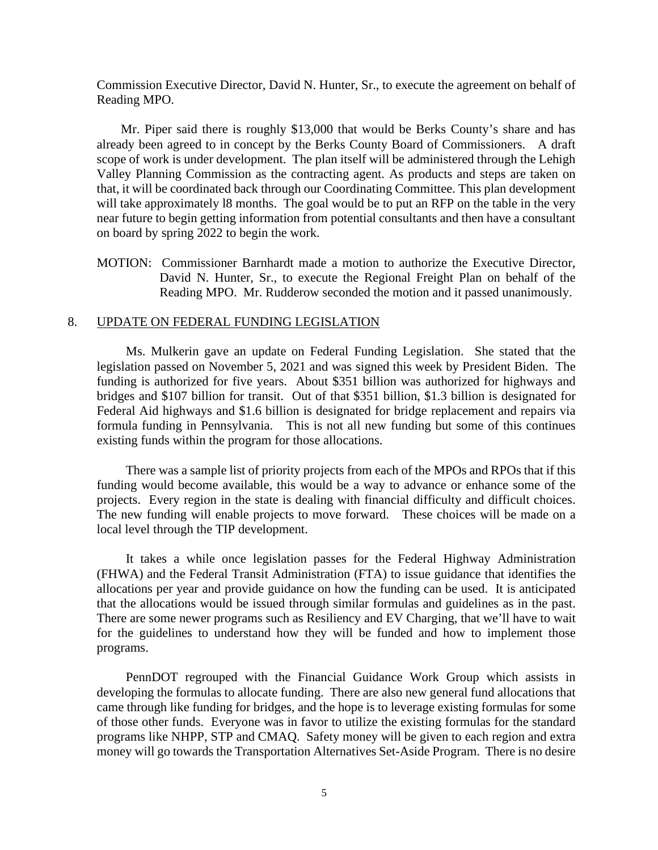Commission Executive Director, David N. Hunter, Sr., to execute the agreement on behalf of Reading MPO.

Mr. Piper said there is roughly \$13,000 that would be Berks County's share and has already been agreed to in concept by the Berks County Board of Commissioners. A draft scope of work is under development. The plan itself will be administered through the Lehigh Valley Planning Commission as the contracting agent. As products and steps are taken on that, it will be coordinated back through our Coordinating Committee. This plan development will take approximately 18 months. The goal would be to put an RFP on the table in the very near future to begin getting information from potential consultants and then have a consultant on board by spring 2022 to begin the work.

MOTION: Commissioner Barnhardt made a motion to authorize the Executive Director, David N. Hunter, Sr., to execute the Regional Freight Plan on behalf of the Reading MPO. Mr. Rudderow seconded the motion and it passed unanimously.

## 8. UPDATE ON FEDERAL FUNDING LEGISLATION

Ms. Mulkerin gave an update on Federal Funding Legislation. She stated that the legislation passed on November 5, 2021 and was signed this week by President Biden. The funding is authorized for five years. About \$351 billion was authorized for highways and bridges and \$107 billion for transit. Out of that \$351 billion, \$1.3 billion is designated for Federal Aid highways and \$1.6 billion is designated for bridge replacement and repairs via formula funding in Pennsylvania. This is not all new funding but some of this continues existing funds within the program for those allocations.

There was a sample list of priority projects from each of the MPOs and RPOs that if this funding would become available, this would be a way to advance or enhance some of the projects. Every region in the state is dealing with financial difficulty and difficult choices. The new funding will enable projects to move forward. These choices will be made on a local level through the TIP development.

It takes a while once legislation passes for the Federal Highway Administration (FHWA) and the Federal Transit Administration (FTA) to issue guidance that identifies the allocations per year and provide guidance on how the funding can be used. It is anticipated that the allocations would be issued through similar formulas and guidelines as in the past. There are some newer programs such as Resiliency and EV Charging, that we'll have to wait for the guidelines to understand how they will be funded and how to implement those programs.

PennDOT regrouped with the Financial Guidance Work Group which assists in developing the formulas to allocate funding. There are also new general fund allocations that came through like funding for bridges, and the hope is to leverage existing formulas for some of those other funds. Everyone was in favor to utilize the existing formulas for the standard programs like NHPP, STP and CMAQ. Safety money will be given to each region and extra money will go towards the Transportation Alternatives Set-Aside Program. There is no desire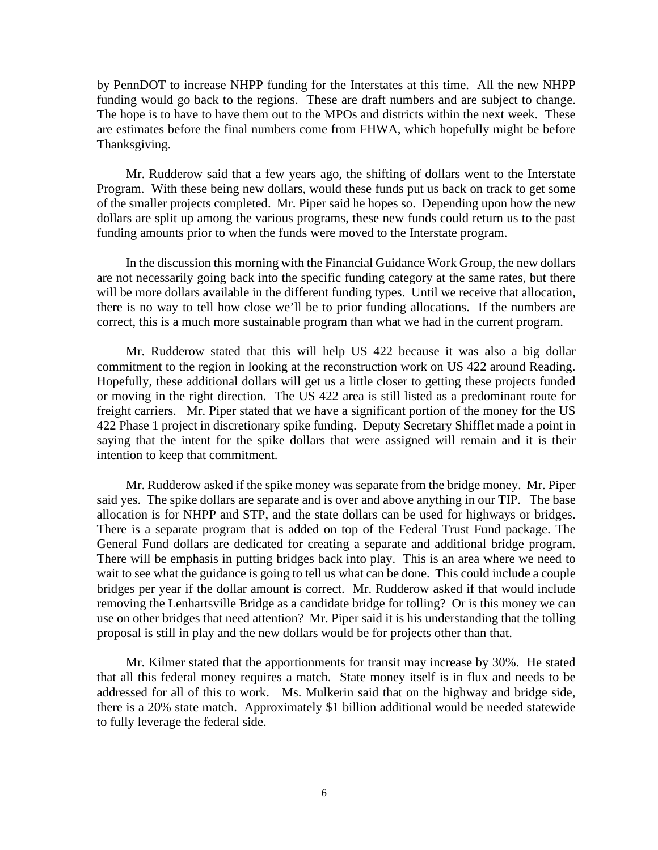by PennDOT to increase NHPP funding for the Interstates at this time. All the new NHPP funding would go back to the regions. These are draft numbers and are subject to change. The hope is to have to have them out to the MPOs and districts within the next week. These are estimates before the final numbers come from FHWA, which hopefully might be before Thanksgiving.

Mr. Rudderow said that a few years ago, the shifting of dollars went to the Interstate Program. With these being new dollars, would these funds put us back on track to get some of the smaller projects completed. Mr. Piper said he hopes so. Depending upon how the new dollars are split up among the various programs, these new funds could return us to the past funding amounts prior to when the funds were moved to the Interstate program.

In the discussion this morning with the Financial Guidance Work Group, the new dollars are not necessarily going back into the specific funding category at the same rates, but there will be more dollars available in the different funding types. Until we receive that allocation, there is no way to tell how close we'll be to prior funding allocations. If the numbers are correct, this is a much more sustainable program than what we had in the current program.

Mr. Rudderow stated that this will help US 422 because it was also a big dollar commitment to the region in looking at the reconstruction work on US 422 around Reading. Hopefully, these additional dollars will get us a little closer to getting these projects funded or moving in the right direction. The US 422 area is still listed as a predominant route for freight carriers. Mr. Piper stated that we have a significant portion of the money for the US 422 Phase 1 project in discretionary spike funding. Deputy Secretary Shifflet made a point in saying that the intent for the spike dollars that were assigned will remain and it is their intention to keep that commitment.

Mr. Rudderow asked if the spike money was separate from the bridge money. Mr. Piper said yes. The spike dollars are separate and is over and above anything in our TIP. The base allocation is for NHPP and STP, and the state dollars can be used for highways or bridges. There is a separate program that is added on top of the Federal Trust Fund package. The General Fund dollars are dedicated for creating a separate and additional bridge program. There will be emphasis in putting bridges back into play. This is an area where we need to wait to see what the guidance is going to tell us what can be done. This could include a couple bridges per year if the dollar amount is correct. Mr. Rudderow asked if that would include removing the Lenhartsville Bridge as a candidate bridge for tolling? Or is this money we can use on other bridges that need attention? Mr. Piper said it is his understanding that the tolling proposal is still in play and the new dollars would be for projects other than that.

Mr. Kilmer stated that the apportionments for transit may increase by 30%. He stated that all this federal money requires a match. State money itself is in flux and needs to be addressed for all of this to work. Ms. Mulkerin said that on the highway and bridge side, there is a 20% state match. Approximately \$1 billion additional would be needed statewide to fully leverage the federal side.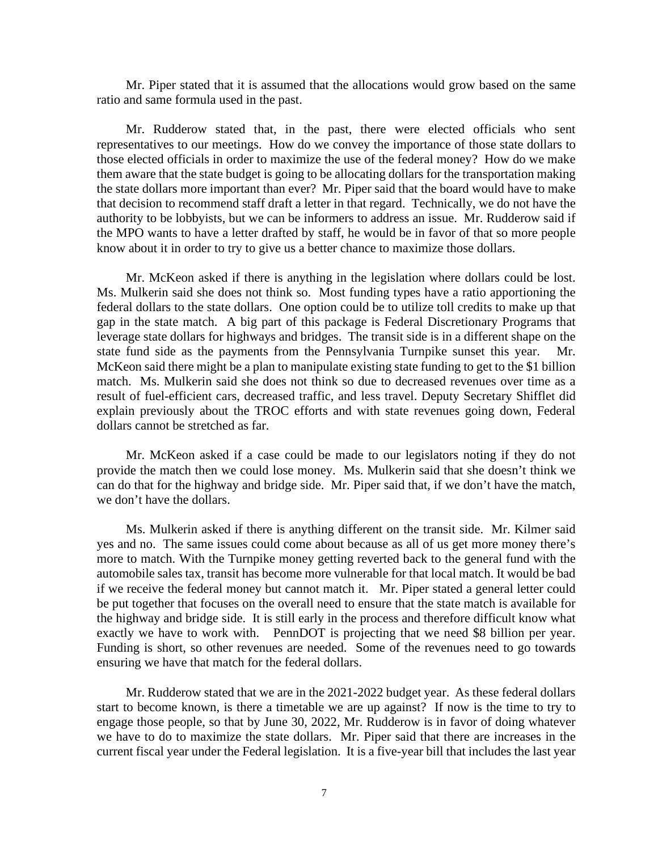Mr. Piper stated that it is assumed that the allocations would grow based on the same ratio and same formula used in the past.

Mr. Rudderow stated that, in the past, there were elected officials who sent representatives to our meetings. How do we convey the importance of those state dollars to those elected officials in order to maximize the use of the federal money? How do we make them aware that the state budget is going to be allocating dollars for the transportation making the state dollars more important than ever? Mr. Piper said that the board would have to make that decision to recommend staff draft a letter in that regard. Technically, we do not have the authority to be lobbyists, but we can be informers to address an issue. Mr. Rudderow said if the MPO wants to have a letter drafted by staff, he would be in favor of that so more people know about it in order to try to give us a better chance to maximize those dollars.

Mr. McKeon asked if there is anything in the legislation where dollars could be lost. Ms. Mulkerin said she does not think so. Most funding types have a ratio apportioning the federal dollars to the state dollars. One option could be to utilize toll credits to make up that gap in the state match. A big part of this package is Federal Discretionary Programs that leverage state dollars for highways and bridges. The transit side is in a different shape on the state fund side as the payments from the Pennsylvania Turnpike sunset this year. Mr. McKeon said there might be a plan to manipulate existing state funding to get to the \$1 billion match. Ms. Mulkerin said she does not think so due to decreased revenues over time as a result of fuel-efficient cars, decreased traffic, and less travel. Deputy Secretary Shifflet did explain previously about the TROC efforts and with state revenues going down, Federal dollars cannot be stretched as far.

Mr. McKeon asked if a case could be made to our legislators noting if they do not provide the match then we could lose money. Ms. Mulkerin said that she doesn't think we can do that for the highway and bridge side. Mr. Piper said that, if we don't have the match, we don't have the dollars.

Ms. Mulkerin asked if there is anything different on the transit side. Mr. Kilmer said yes and no. The same issues could come about because as all of us get more money there's more to match. With the Turnpike money getting reverted back to the general fund with the automobile sales tax, transit has become more vulnerable for that local match. It would be bad if we receive the federal money but cannot match it. Mr. Piper stated a general letter could be put together that focuses on the overall need to ensure that the state match is available for the highway and bridge side. It is still early in the process and therefore difficult know what exactly we have to work with. PennDOT is projecting that we need \$8 billion per year. Funding is short, so other revenues are needed. Some of the revenues need to go towards ensuring we have that match for the federal dollars.

Mr. Rudderow stated that we are in the 2021-2022 budget year. As these federal dollars start to become known, is there a timetable we are up against? If now is the time to try to engage those people, so that by June 30, 2022, Mr. Rudderow is in favor of doing whatever we have to do to maximize the state dollars. Mr. Piper said that there are increases in the current fiscal year under the Federal legislation. It is a five-year bill that includes the last year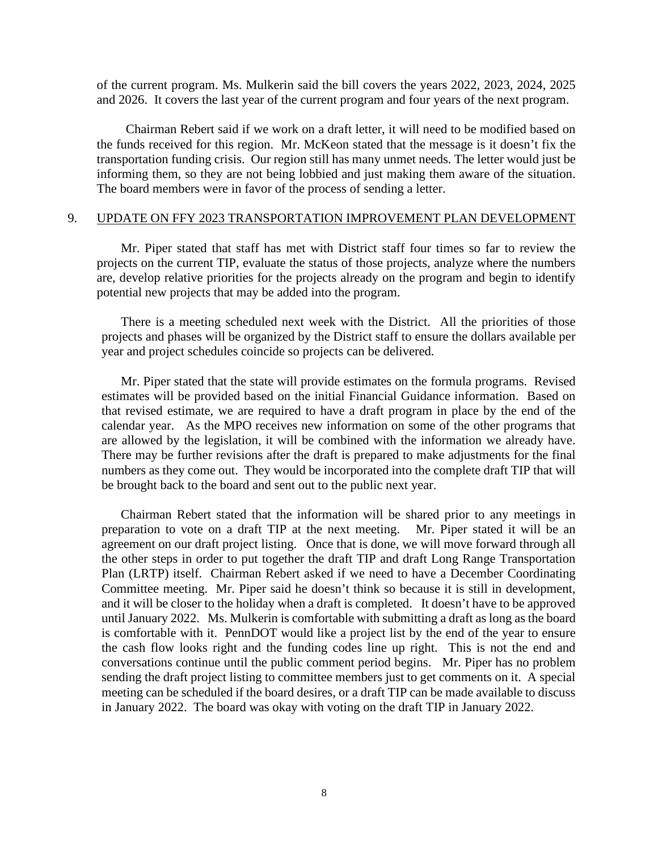of the current program. Ms. Mulkerin said the bill covers the years 2022, 2023, 2024, 2025 and 2026. It covers the last year of the current program and four years of the next program.

Chairman Rebert said if we work on a draft letter, it will need to be modified based on the funds received for this region. Mr. McKeon stated that the message is it doesn't fix the transportation funding crisis. Our region still has many unmet needs. The letter would just be informing them, so they are not being lobbied and just making them aware of the situation. The board members were in favor of the process of sending a letter.

#### 9. UPDATE ON FFY 2023 TRANSPORTATION IMPROVEMENT PLAN DEVELOPMENT

Mr. Piper stated that staff has met with District staff four times so far to review the projects on the current TIP, evaluate the status of those projects, analyze where the numbers are, develop relative priorities for the projects already on the program and begin to identify potential new projects that may be added into the program.

There is a meeting scheduled next week with the District. All the priorities of those projects and phases will be organized by the District staff to ensure the dollars available per year and project schedules coincide so projects can be delivered.

Mr. Piper stated that the state will provide estimates on the formula programs. Revised estimates will be provided based on the initial Financial Guidance information. Based on that revised estimate, we are required to have a draft program in place by the end of the calendar year. As the MPO receives new information on some of the other programs that are allowed by the legislation, it will be combined with the information we already have. There may be further revisions after the draft is prepared to make adjustments for the final numbers as they come out. They would be incorporated into the complete draft TIP that will be brought back to the board and sent out to the public next year.

Chairman Rebert stated that the information will be shared prior to any meetings in preparation to vote on a draft TIP at the next meeting. Mr. Piper stated it will be an agreement on our draft project listing. Once that is done, we will move forward through all the other steps in order to put together the draft TIP and draft Long Range Transportation Plan (LRTP) itself. Chairman Rebert asked if we need to have a December Coordinating Committee meeting. Mr. Piper said he doesn't think so because it is still in development, and it will be closer to the holiday when a draft is completed. It doesn't have to be approved until January 2022. Ms. Mulkerin is comfortable with submitting a draft as long as the board is comfortable with it. PennDOT would like a project list by the end of the year to ensure the cash flow looks right and the funding codes line up right. This is not the end and conversations continue until the public comment period begins. Mr. Piper has no problem sending the draft project listing to committee members just to get comments on it. A special meeting can be scheduled if the board desires, or a draft TIP can be made available to discuss in January 2022. The board was okay with voting on the draft TIP in January 2022.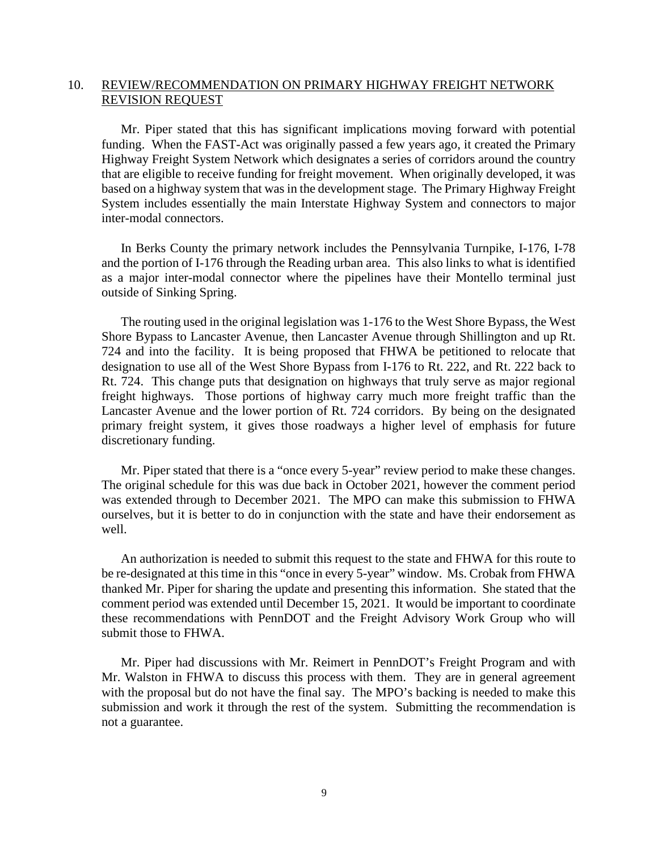# 10. REVIEW/RECOMMENDATION ON PRIMARY HIGHWAY FREIGHT NETWORK REVISION REQUEST

Mr. Piper stated that this has significant implications moving forward with potential funding. When the FAST-Act was originally passed a few years ago, it created the Primary Highway Freight System Network which designates a series of corridors around the country that are eligible to receive funding for freight movement. When originally developed, it was based on a highway system that was in the development stage. The Primary Highway Freight System includes essentially the main Interstate Highway System and connectors to major inter-modal connectors.

 In Berks County the primary network includes the Pennsylvania Turnpike, I-176, I-78 and the portion of I-176 through the Reading urban area. This also links to what is identified as a major inter-modal connector where the pipelines have their Montello terminal just outside of Sinking Spring.

The routing used in the original legislation was 1-176 to the West Shore Bypass, the West Shore Bypass to Lancaster Avenue, then Lancaster Avenue through Shillington and up Rt. 724 and into the facility. It is being proposed that FHWA be petitioned to relocate that designation to use all of the West Shore Bypass from I-176 to Rt. 222, and Rt. 222 back to Rt. 724. This change puts that designation on highways that truly serve as major regional freight highways. Those portions of highway carry much more freight traffic than the Lancaster Avenue and the lower portion of Rt. 724 corridors. By being on the designated primary freight system, it gives those roadways a higher level of emphasis for future discretionary funding.

Mr. Piper stated that there is a "once every 5-year" review period to make these changes. The original schedule for this was due back in October 2021, however the comment period was extended through to December 2021. The MPO can make this submission to FHWA ourselves, but it is better to do in conjunction with the state and have their endorsement as well.

An authorization is needed to submit this request to the state and FHWA for this route to be re-designated at this time in this "once in every 5-year" window. Ms. Crobak from FHWA thanked Mr. Piper for sharing the update and presenting this information. She stated that the comment period was extended until December 15, 2021. It would be important to coordinate these recommendations with PennDOT and the Freight Advisory Work Group who will submit those to FHWA.

 Mr. Piper had discussions with Mr. Reimert in PennDOT's Freight Program and with Mr. Walston in FHWA to discuss this process with them. They are in general agreement with the proposal but do not have the final say. The MPO's backing is needed to make this submission and work it through the rest of the system. Submitting the recommendation is not a guarantee.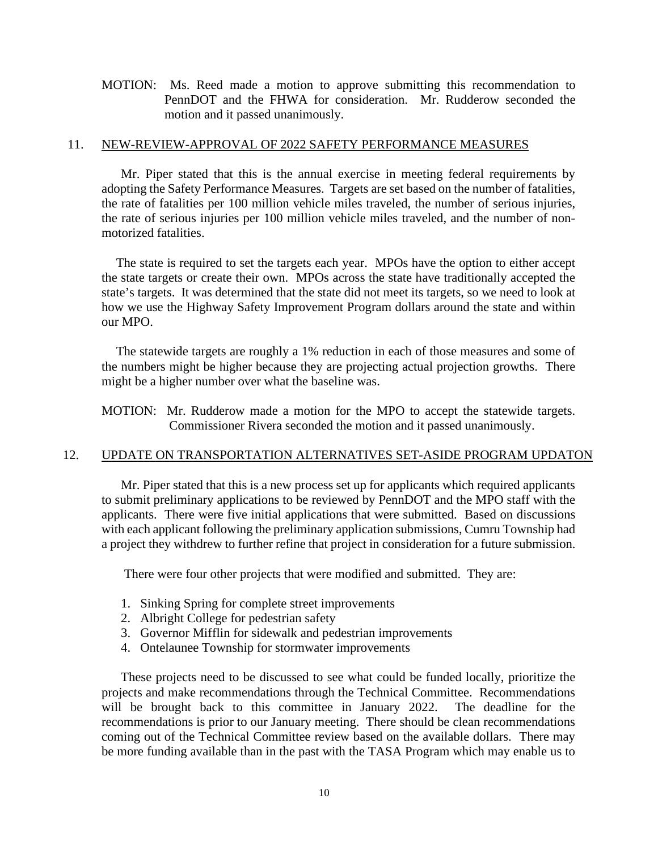MOTION: Ms. Reed made a motion to approve submitting this recommendation to PennDOT and the FHWA for consideration. Mr. Rudderow seconded the motion and it passed unanimously.

#### 11. NEW-REVIEW-APPROVAL OF 2022 SAFETY PERFORMANCE MEASURES

Mr. Piper stated that this is the annual exercise in meeting federal requirements by adopting the Safety Performance Measures. Targets are set based on the number of fatalities, the rate of fatalities per 100 million vehicle miles traveled, the number of serious injuries, the rate of serious injuries per 100 million vehicle miles traveled, and the number of nonmotorized fatalities.

The state is required to set the targets each year. MPOs have the option to either accept the state targets or create their own. MPOs across the state have traditionally accepted the state's targets. It was determined that the state did not meet its targets, so we need to look at how we use the Highway Safety Improvement Program dollars around the state and within our MPO.

The statewide targets are roughly a 1% reduction in each of those measures and some of the numbers might be higher because they are projecting actual projection growths. There might be a higher number over what the baseline was.

MOTION: Mr. Rudderow made a motion for the MPO to accept the statewide targets. Commissioner Rivera seconded the motion and it passed unanimously.

# 12. UPDATE ON TRANSPORTATION ALTERNATIVES SET-ASIDE PROGRAM UPDATON

Mr. Piper stated that this is a new process set up for applicants which required applicants to submit preliminary applications to be reviewed by PennDOT and the MPO staff with the applicants. There were five initial applications that were submitted. Based on discussions with each applicant following the preliminary application submissions, Cumru Township had a project they withdrew to further refine that project in consideration for a future submission.

There were four other projects that were modified and submitted. They are:

- 1. Sinking Spring for complete street improvements
- 2. Albright College for pedestrian safety
- 3. Governor Mifflin for sidewalk and pedestrian improvements
- 4. Ontelaunee Township for stormwater improvements

These projects need to be discussed to see what could be funded locally, prioritize the projects and make recommendations through the Technical Committee. Recommendations will be brought back to this committee in January 2022. The deadline for the recommendations is prior to our January meeting. There should be clean recommendations coming out of the Technical Committee review based on the available dollars. There may be more funding available than in the past with the TASA Program which may enable us to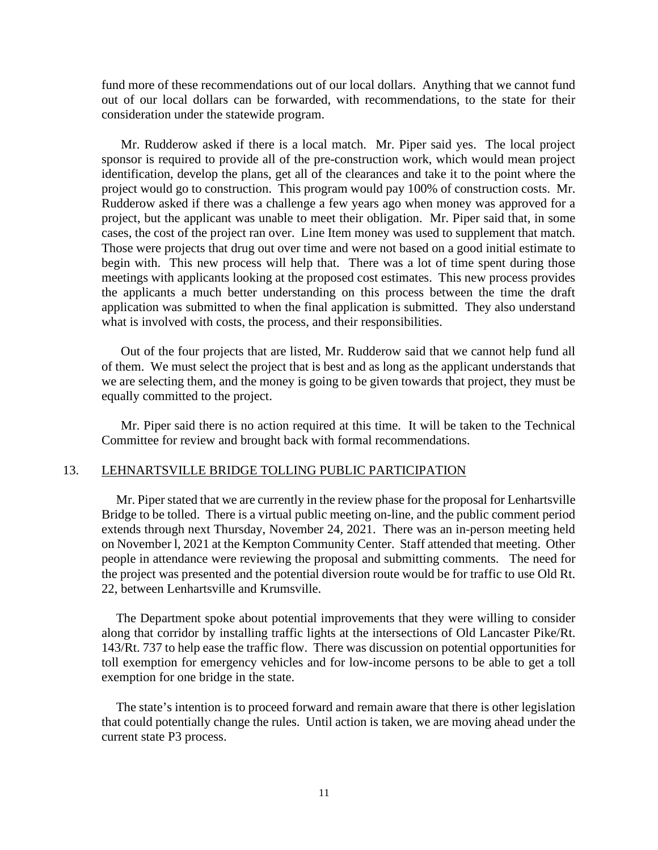fund more of these recommendations out of our local dollars. Anything that we cannot fund out of our local dollars can be forwarded, with recommendations, to the state for their consideration under the statewide program.

Mr. Rudderow asked if there is a local match. Mr. Piper said yes. The local project sponsor is required to provide all of the pre-construction work, which would mean project identification, develop the plans, get all of the clearances and take it to the point where the project would go to construction. This program would pay 100% of construction costs. Mr. Rudderow asked if there was a challenge a few years ago when money was approved for a project, but the applicant was unable to meet their obligation. Mr. Piper said that, in some cases, the cost of the project ran over. Line Item money was used to supplement that match. Those were projects that drug out over time and were not based on a good initial estimate to begin with. This new process will help that. There was a lot of time spent during those meetings with applicants looking at the proposed cost estimates. This new process provides the applicants a much better understanding on this process between the time the draft application was submitted to when the final application is submitted. They also understand what is involved with costs, the process, and their responsibilities.

Out of the four projects that are listed, Mr. Rudderow said that we cannot help fund all of them. We must select the project that is best and as long as the applicant understands that we are selecting them, and the money is going to be given towards that project, they must be equally committed to the project.

Mr. Piper said there is no action required at this time. It will be taken to the Technical Committee for review and brought back with formal recommendations.

#### 13. LEHNARTSVILLE BRIDGE TOLLING PUBLIC PARTICIPATION

Mr. Piper stated that we are currently in the review phase for the proposal for Lenhartsville Bridge to be tolled. There is a virtual public meeting on-line, and the public comment period extends through next Thursday, November 24, 2021. There was an in-person meeting held on November l, 2021 at the Kempton Community Center. Staff attended that meeting. Other people in attendance were reviewing the proposal and submitting comments. The need for the project was presented and the potential diversion route would be for traffic to use Old Rt. 22, between Lenhartsville and Krumsville.

The Department spoke about potential improvements that they were willing to consider along that corridor by installing traffic lights at the intersections of Old Lancaster Pike/Rt. 143/Rt. 737 to help ease the traffic flow. There was discussion on potential opportunities for toll exemption for emergency vehicles and for low-income persons to be able to get a toll exemption for one bridge in the state.

The state's intention is to proceed forward and remain aware that there is other legislation that could potentially change the rules. Until action is taken, we are moving ahead under the current state P3 process.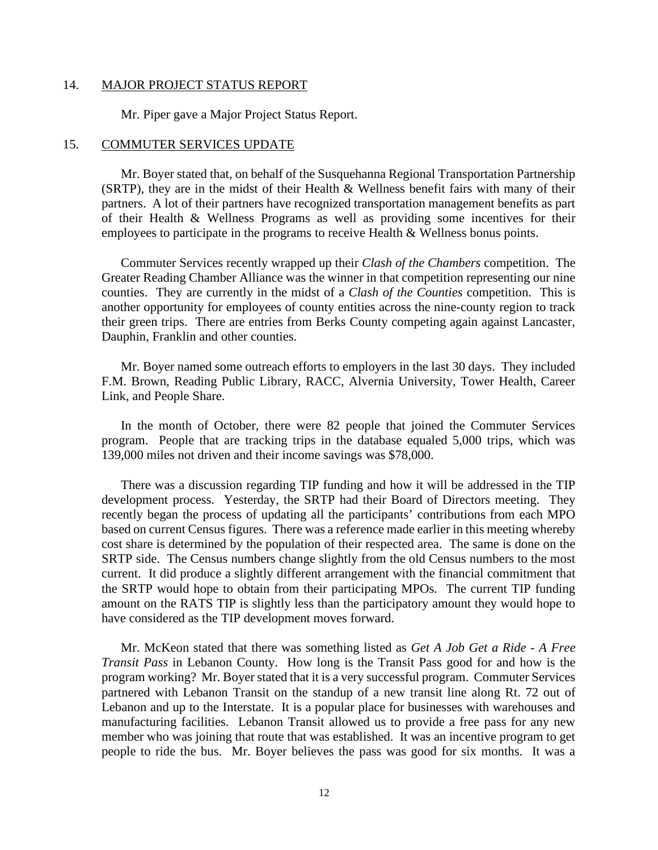#### 14. MAJOR PROJECT STATUS REPORT

Mr. Piper gave a Major Project Status Report.

#### 15. COMMUTER SERVICES UPDATE

Mr. Boyer stated that, on behalf of the Susquehanna Regional Transportation Partnership (SRTP), they are in the midst of their Health & Wellness benefit fairs with many of their partners. A lot of their partners have recognized transportation management benefits as part of their Health & Wellness Programs as well as providing some incentives for their employees to participate in the programs to receive Health & Wellness bonus points.

Commuter Services recently wrapped up their *Clash of the Chambers* competition. The Greater Reading Chamber Alliance was the winner in that competition representing our nine counties. They are currently in the midst of a *Clash of the Counties* competition. This is another opportunity for employees of county entities across the nine-county region to track their green trips. There are entries from Berks County competing again against Lancaster, Dauphin, Franklin and other counties.

Mr. Boyer named some outreach efforts to employers in the last 30 days. They included F.M. Brown, Reading Public Library, RACC, Alvernia University, Tower Health, Career Link, and People Share.

In the month of October, there were 82 people that joined the Commuter Services program. People that are tracking trips in the database equaled 5,000 trips, which was 139,000 miles not driven and their income savings was \$78,000.

There was a discussion regarding TIP funding and how it will be addressed in the TIP development process. Yesterday, the SRTP had their Board of Directors meeting. They recently began the process of updating all the participants' contributions from each MPO based on current Census figures. There was a reference made earlier in this meeting whereby cost share is determined by the population of their respected area. The same is done on the SRTP side. The Census numbers change slightly from the old Census numbers to the most current. It did produce a slightly different arrangement with the financial commitment that the SRTP would hope to obtain from their participating MPOs. The current TIP funding amount on the RATS TIP is slightly less than the participatory amount they would hope to have considered as the TIP development moves forward.

Mr. McKeon stated that there was something listed as *Get A Job Get a Ride - A Free Transit Pass* in Lebanon County. How long is the Transit Pass good for and how is the program working? Mr. Boyer stated that it is a very successful program. Commuter Services partnered with Lebanon Transit on the standup of a new transit line along Rt. 72 out of Lebanon and up to the Interstate. It is a popular place for businesses with warehouses and manufacturing facilities. Lebanon Transit allowed us to provide a free pass for any new member who was joining that route that was established. It was an incentive program to get people to ride the bus. Mr. Boyer believes the pass was good for six months. It was a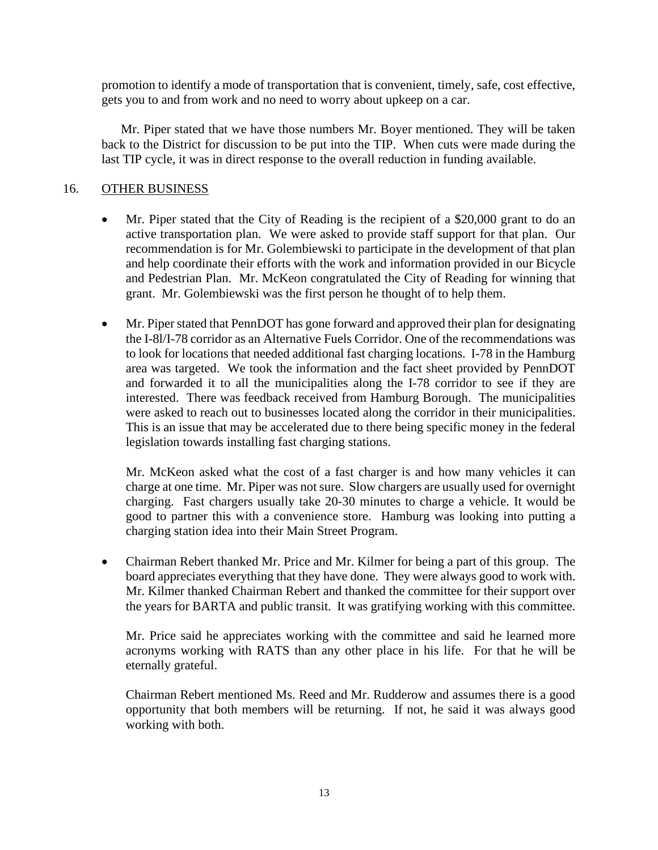promotion to identify a mode of transportation that is convenient, timely, safe, cost effective, gets you to and from work and no need to worry about upkeep on a car.

Mr. Piper stated that we have those numbers Mr. Boyer mentioned. They will be taken back to the District for discussion to be put into the TIP. When cuts were made during the last TIP cycle, it was in direct response to the overall reduction in funding available.

# 16. OTHER BUSINESS

- Mr. Piper stated that the City of Reading is the recipient of a \$20,000 grant to do an active transportation plan. We were asked to provide staff support for that plan. Our recommendation is for Mr. Golembiewski to participate in the development of that plan and help coordinate their efforts with the work and information provided in our Bicycle and Pedestrian Plan. Mr. McKeon congratulated the City of Reading for winning that grant. Mr. Golembiewski was the first person he thought of to help them.
- Mr. Piper stated that PennDOT has gone forward and approved their plan for designating the I-8l/I-78 corridor as an Alternative Fuels Corridor. One of the recommendations was to look for locations that needed additional fast charging locations. I-78 in the Hamburg area was targeted. We took the information and the fact sheet provided by PennDOT and forwarded it to all the municipalities along the I-78 corridor to see if they are interested. There was feedback received from Hamburg Borough. The municipalities were asked to reach out to businesses located along the corridor in their municipalities. This is an issue that may be accelerated due to there being specific money in the federal legislation towards installing fast charging stations.

Mr. McKeon asked what the cost of a fast charger is and how many vehicles it can charge at one time. Mr. Piper was not sure. Slow chargers are usually used for overnight charging. Fast chargers usually take 20-30 minutes to charge a vehicle. It would be good to partner this with a convenience store. Hamburg was looking into putting a charging station idea into their Main Street Program.

• Chairman Rebert thanked Mr. Price and Mr. Kilmer for being a part of this group. The board appreciates everything that they have done. They were always good to work with. Mr. Kilmer thanked Chairman Rebert and thanked the committee for their support over the years for BARTA and public transit. It was gratifying working with this committee.

Mr. Price said he appreciates working with the committee and said he learned more acronyms working with RATS than any other place in his life. For that he will be eternally grateful.

Chairman Rebert mentioned Ms. Reed and Mr. Rudderow and assumes there is a good opportunity that both members will be returning. If not, he said it was always good working with both.